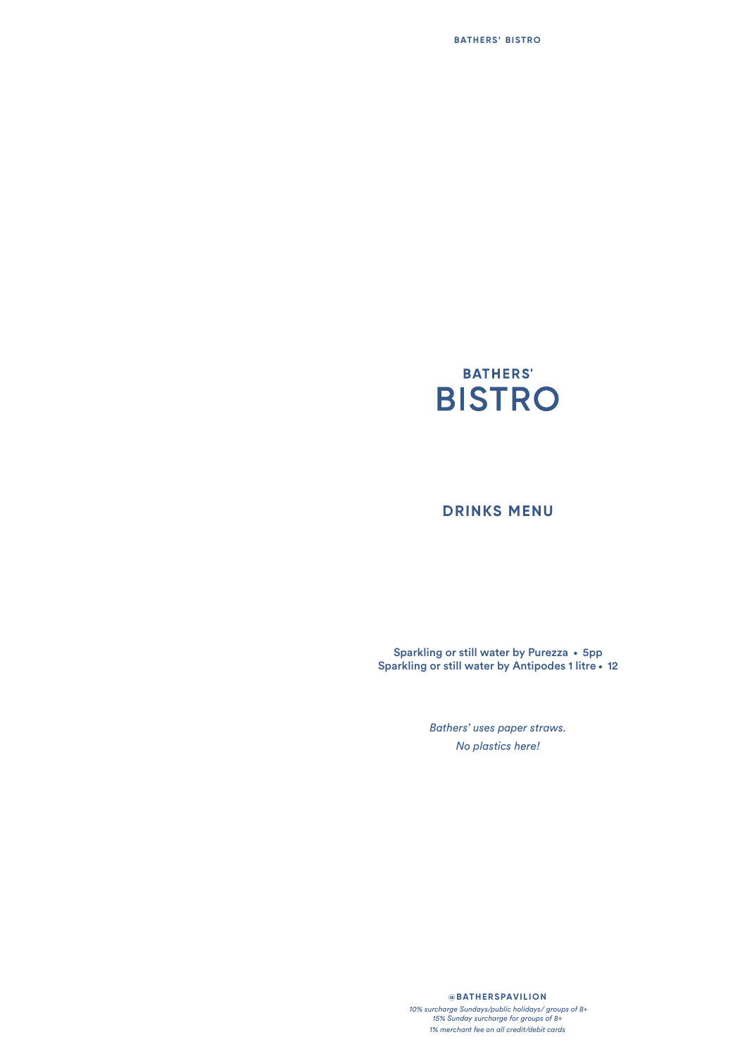

### **DRINKS MENU**

Sparkling or still water by Purezza • 5pp Sparkling or still water by Antipodes 1 litre . 12

> *Bathers' uses paper straws. No plastics here!*

#### **@BATHERSPAVILION**

 *10% surcharge Sundays/public holidays/ groups of 8+ 15% Sunday surcharge for groups of 8+ 1% merchant fee on all credit/debit cards*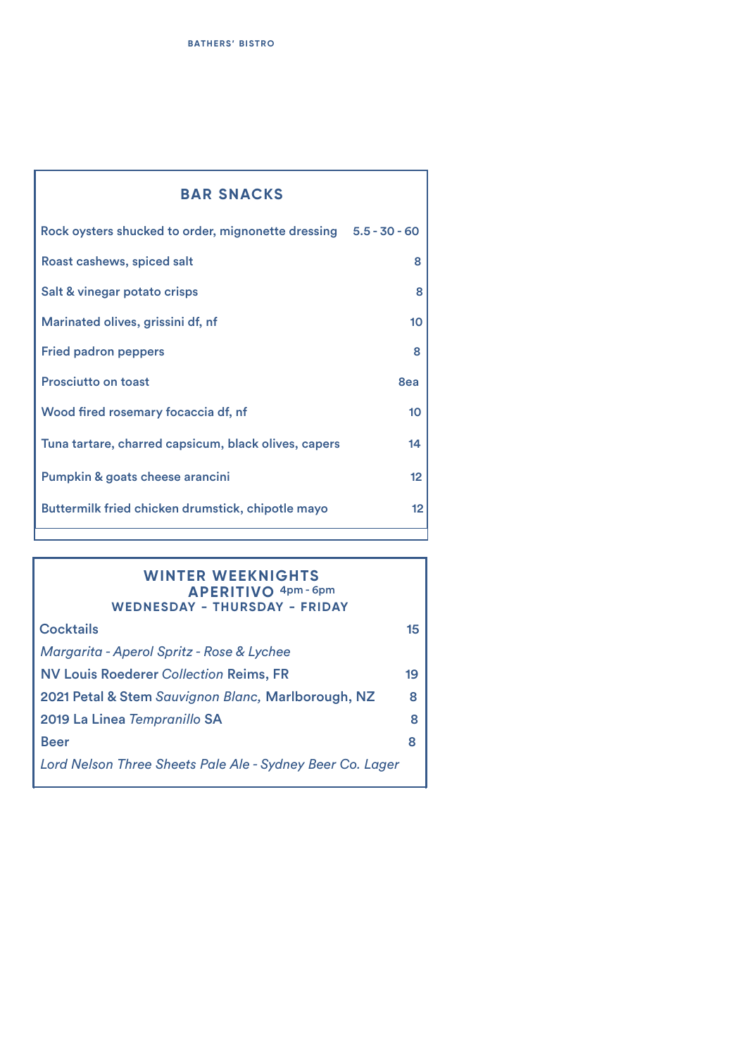| <b>BAR SNACKS</b>                                                |     |  |
|------------------------------------------------------------------|-----|--|
| Rock oysters shucked to order, mignonette dressing 5.5 - 30 - 60 |     |  |
| Roast cashews, spiced salt                                       | 8   |  |
| Salt & vinegar potato crisps                                     | 8   |  |
| Marinated olives, grissini df, nf                                | 10  |  |
| <b>Fried padron peppers</b>                                      | 8   |  |
| <b>Prosciutto on toast</b>                                       | 8ea |  |
| Wood fired rosemary focaccia df, nf                              | 10  |  |
| Tuna tartare, charred capsicum, black olives, capers             | 14  |  |
| Pumpkin & goats cheese arancini                                  | 12  |  |
| Buttermilk fried chicken drumstick, chipotle mayo                | 12  |  |

Ť.

#### **WINTER WEEKNIGHTS WEDNESDAY - THURSDAY - FRIDAY APERITIVO** 4pm - 6pm

I

| <b>Cocktails</b>                                          | 15 |
|-----------------------------------------------------------|----|
| Margarita - Aperol Spritz - Rose & Lychee                 |    |
| <b>NV Louis Roederer Collection Reims, FR</b>             | 19 |
| 2021 Petal & Stem Sauvignon Blanc, Marlborough, NZ        | 8  |
| 2019 La Linea Tempranillo SA                              | 8  |
| <b>Beer</b>                                               | 8  |
| Lord Nelson Three Sheets Pale Ale - Sydney Beer Co. Lager |    |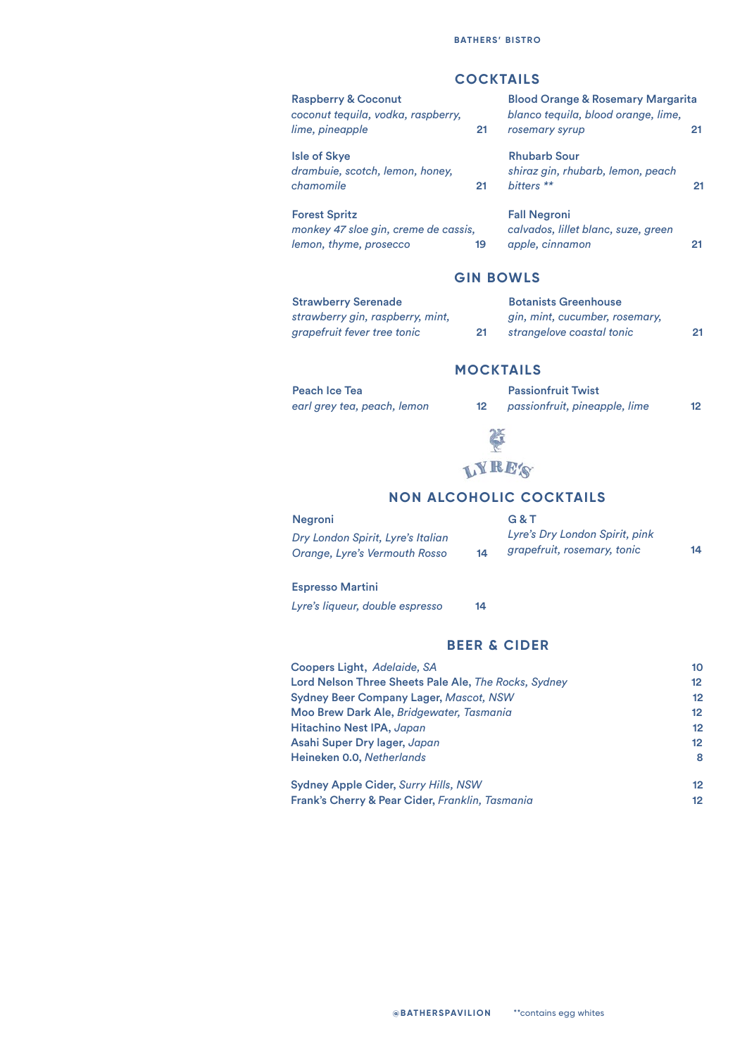### **COCKTAILS**

| <b>Raspberry &amp; Coconut</b><br>coconut tequila, vodka, raspberry,                   |    | <b>Blood Orange &amp; Rosemary Margarita</b><br>blanco tequila, blood orange, lime, |    |  |
|----------------------------------------------------------------------------------------|----|-------------------------------------------------------------------------------------|----|--|
| lime, pineapple                                                                        | 21 | rosemary syrup                                                                      | 21 |  |
| <b>Isle of Skye</b><br>drambuie, scotch, lemon, honey,<br>chamomile                    | 21 | <b>Rhubarb Sour</b><br>shiraz gin, rhubarb, lemon, peach<br>bitters <sup>**</sup>   | 21 |  |
| <b>Forest Spritz</b><br>monkey 47 sloe gin, creme de cassis,<br>lemon, thyme, prosecco | 19 | <b>Fall Negroni</b><br>calvados, lillet blanc, suze, green<br>apple, cinnamon       |    |  |

#### **GIN BOWLS**

| <b>Strawberry Serenade</b>       |    | <b>Botanists Greenhouse</b>    |    |
|----------------------------------|----|--------------------------------|----|
| strawberry gin, raspberry, mint, |    | gin, mint, cucumber, rosemary, |    |
| grapefruit fever tree tonic      | 21 | strangelove coastal tonic      | 21 |

### **MOCKTAILS**

Peach Ice Tea *earl grey tea, peach, lemon* 

|                   | <b>Passionfruit Twist</b>     |    |
|-------------------|-------------------------------|----|
| $12 \overline{ }$ | passionfruit, pineapple, lime | 12 |



#### **NON ALCOHOLIC COCKTAILS**

| Negroni                           |    | G & T                          |    |
|-----------------------------------|----|--------------------------------|----|
| Dry London Spirit, Lyre's Italian |    | Lyre's Dry London Spirit, pink |    |
| Orange, Lyre's Vermouth Rosso     | 14 | grapefruit, rosemary, tonic    | 14 |

#### Espresso Martini

*Lyre's liqueur, double espresso* 14

#### **BEER & CIDER**

| Coopers Light, Adelaide, SA                          | 10              |
|------------------------------------------------------|-----------------|
| Lord Nelson Three Sheets Pale Ale, The Rocks, Sydney | 12 <sup>°</sup> |
| <b>Sydney Beer Company Lager, Mascot, NSW</b>        | 12              |
| Moo Brew Dark Ale, Bridgewater, Tasmania             | 12              |
| Hitachino Nest IPA, Japan                            | 12              |
| Asahi Super Dry lager, Japan                         | 12              |
| Heineken 0.0, Netherlands                            | 8               |
|                                                      | "               |

| <b>Sydney Apple Cider, Surry Hills, NSW</b>     |  |
|-------------------------------------------------|--|
| Frank's Cherry & Pear Cider, Franklin, Tasmania |  |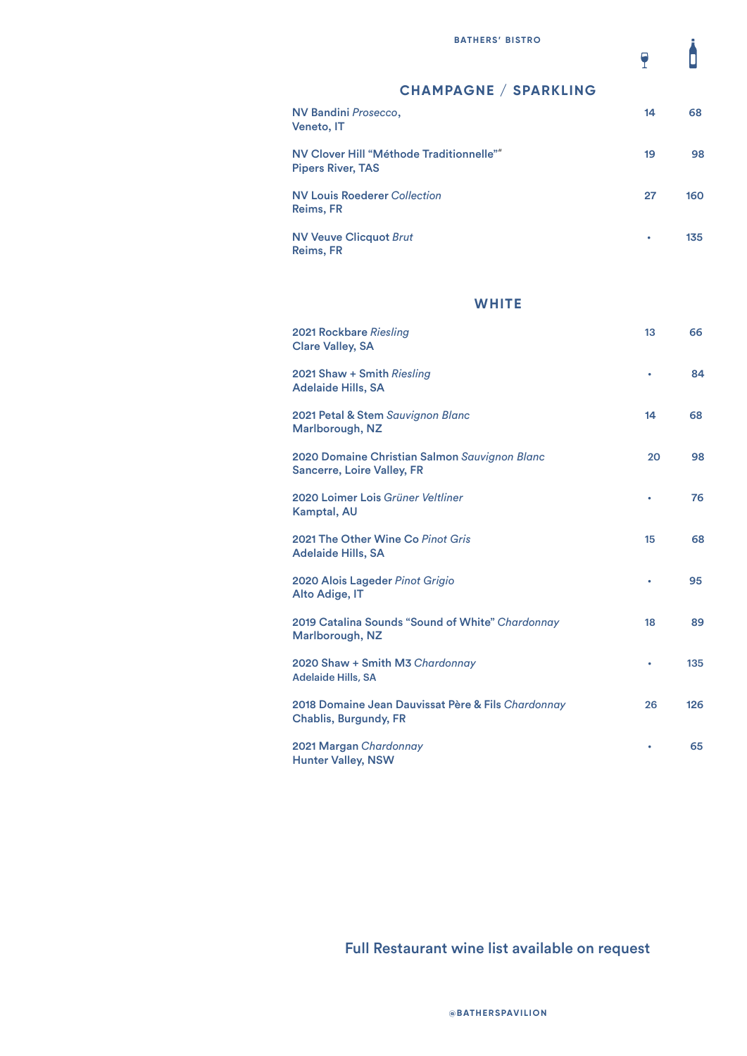$\overline{\mathbf{r}}$ 

### **CHAMPAGNE / SPARKLING**

| NV Bandini Prosecco,<br><b>Veneto, IT</b>                            | 14 | 68  |
|----------------------------------------------------------------------|----|-----|
| NV Clover Hill "Méthode Traditionnelle""<br><b>Pipers River, TAS</b> | 19 | 98  |
| <b>NV Louis Roederer Collection</b><br>Reims, FR                     | 27 | 160 |
| <b>NV Veuve Clicquot Brut</b><br>Reims, FR                           | ٠  | 135 |

### **WHITE**

| 2021 Rockbare Riesling<br><b>Clare Valley, SA</b>                                  | 13 | 66  |
|------------------------------------------------------------------------------------|----|-----|
| 2021 Shaw + Smith Riesling<br><b>Adelaide Hills, SA</b>                            | ٠  | 84  |
| 2021 Petal & Stem Sauvignon Blanc<br>Marlborough, NZ                               | 14 | 68  |
| 2020 Domaine Christian Salmon Sauvignon Blanc<br><b>Sancerre, Loire Valley, FR</b> | 20 | 98  |
| 2020 Loimer Lois Grüner Veltliner<br>Kamptal, AU                                   | ٠  | 76  |
| 2021 The Other Wine Co Pinot Gris<br><b>Adelaide Hills, SA</b>                     | 15 | 68  |
| 2020 Alois Lageder Pinot Grigio<br>Alto Adige, IT                                  | ۰  | 95  |
| 2019 Catalina Sounds "Sound of White" Chardonnay<br>Marlborough, NZ                | 18 | 89  |
| 2020 Shaw + Smith M3 Chardonnay<br><b>Adelaide Hills, SA</b>                       | ۰  | 135 |
| 2018 Domaine Jean Dauvissat Père & Fils Chardonnay<br><b>Chablis, Burgundy, FR</b> | 26 | 126 |
| 2021 Margan Chardonnay<br><b>Hunter Valley, NSW</b>                                |    | 65  |

## Full Restaurant wine list available on request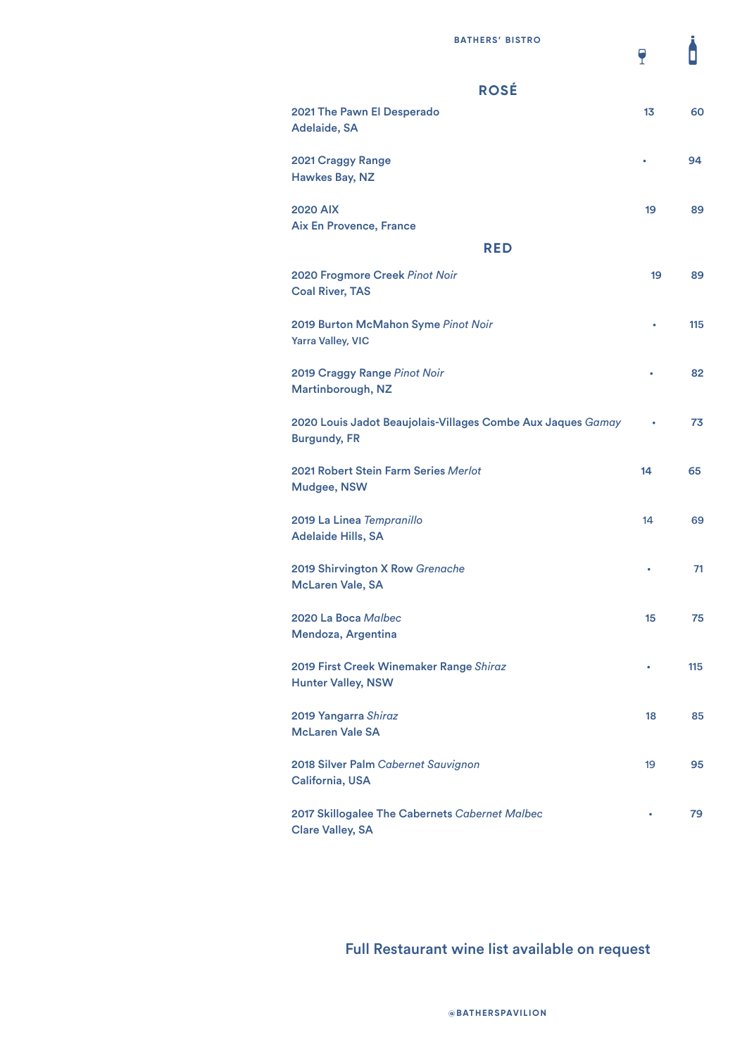Adelaide, SA

Hawkes Bay, NZ

Clare Valley, SA

 $\overline{\mathbf{r}}$ 

# 2021 The Pawn El Desperado 13 60 2021 Craggy Range **• 94** 2020 AIX 2020 AIX 2020 AIX 2020 AIX 2020 AIX 2020 AIX 39 Aix En Provence, France **ROSÉ RED**

| 2020 Frogmore Creek Pinot Noir<br><b>Coal River, TAS</b>                           | 19        | 89  |
|------------------------------------------------------------------------------------|-----------|-----|
| 2019 Burton McMahon Syme Pinot Noir<br><b>Yarra Valley, VIC</b>                    |           | 115 |
| 2019 Craggy Range Pinot Noir<br>Martinborough, NZ                                  | ۰         | 82  |
| 2020 Louis Jadot Beaujolais-Villages Combe Aux Jaques Gamay<br><b>Burgundy, FR</b> | ۰         | 73  |
| 2021 Robert Stein Farm Series Merlot<br><b>Mudgee, NSW</b>                         | 14        | 65  |
| 2019 La Linea Tempranillo<br><b>Adelaide Hills, SA</b>                             | 14        | 69  |
| 2019 Shirvington X Row Grenache<br><b>McLaren Vale, SA</b>                         | ٠         | 71  |
| 2020 La Boca Malbec<br>Mendoza, Argentina                                          | 15        | 75  |
| 2019 First Creek Winemaker Range Shiraz<br><b>Hunter Valley, NSW</b>               | $\bullet$ | 115 |
| 2019 Yangarra Shiraz<br><b>McLaren Vale SA</b>                                     | 18        | 85  |
| 2018 Silver Palm Cabernet Sauvignon<br>California, USA                             | 19        | 95  |
| 2017 Skillogalee The Cabernets Cabernet Malbec                                     |           | 79  |

### Full Restaurant wine list available on request

**@BATHERSPAVILION**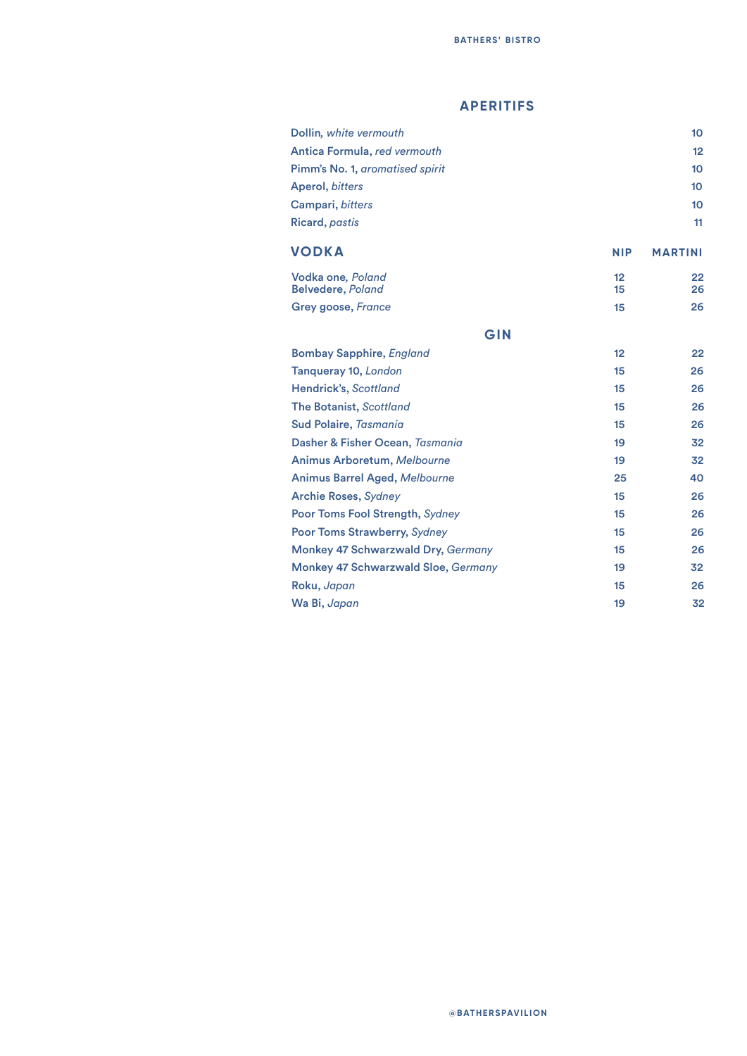### **APERITIFS**

| Dollin, white vermouth                     |            | 10 <sup>1</sup> |
|--------------------------------------------|------------|-----------------|
| Antica Formula, red vermouth               |            | 12              |
| Pimm's No. 1, aromatised spirit            |            | 10 <sup>1</sup> |
| Aperol, bitters                            |            | 10 <sup>1</sup> |
| Campari, bitters                           |            | 10 <sup>1</sup> |
| <b>Ricard</b> , pastis                     |            | 11              |
| <b>VODKA</b>                               | <b>NIP</b> | <b>MARTINI</b>  |
| Vodka one, Poland                          | 12         | 22              |
| <b>Belvedere, Poland</b>                   | 15         | 26              |
| Grey goose, France                         | 15         | 26              |
| GIN                                        |            |                 |
| <b>Bombay Sapphire, England</b>            | 12         | 22              |
| Tanqueray 10, London                       | 15         | 26              |
| Hendrick's, Scottland                      | 15         | 26              |
| <b>The Botanist, Scottland</b>             | 15         | 26              |
| <b>Sud Polaire, Tasmania</b>               | 15         | 26              |
| Dasher & Fisher Ocean, Tasmania            | 19         | 32              |
| Animus Arboretum, Melbourne                | 19         | 32              |
| <b>Animus Barrel Aged, Melbourne</b>       | 25         | 40              |
| <b>Archie Roses, Sydney</b>                | 15         | 26              |
| Poor Toms Fool Strength, Sydney            | 15         | 26              |
| Poor Toms Strawberry, Sydney               | 15         | 26              |
| Monkey 47 Schwarzwald Dry, Germany         | 15         | 26              |
| <b>Monkey 47 Schwarzwald Sloe, Germany</b> | 19         | 32              |
| Roku, Japan                                | 15         | 26              |
| Wa Bi, Japan                               | 19         | 32              |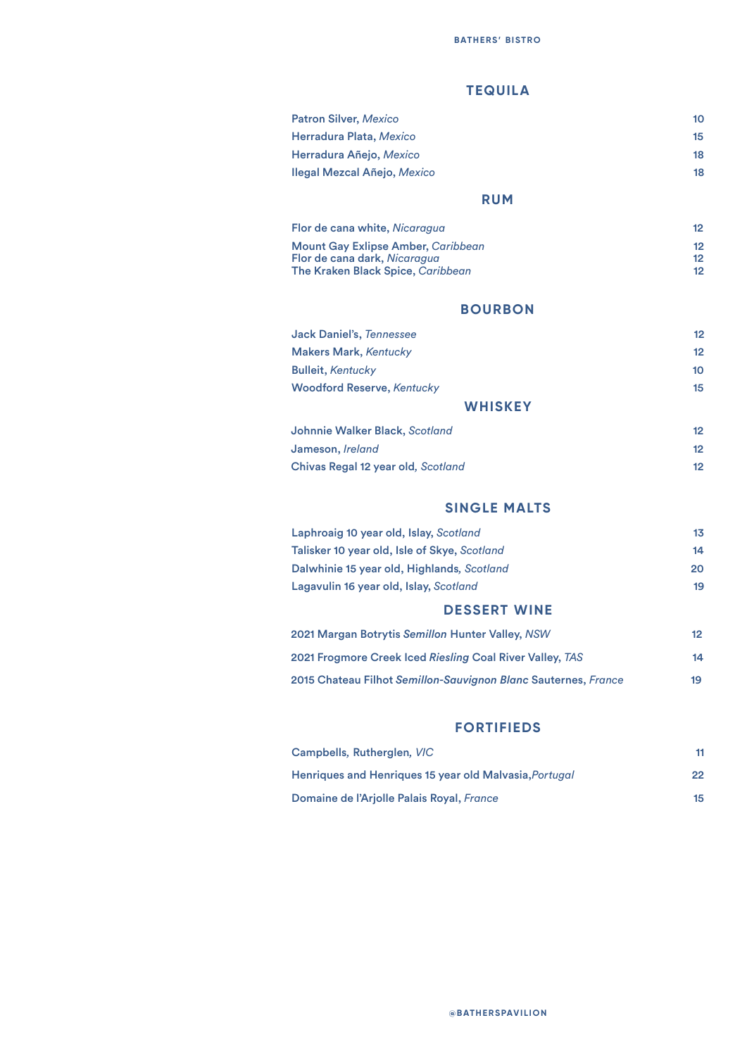### **TEQUILA**

| <b>Patron Silver, Mexico</b>                                                                                   | 10                            |
|----------------------------------------------------------------------------------------------------------------|-------------------------------|
| Herradura Plata, Mexico                                                                                        | 15                            |
| Herradura Añejo, Mexico                                                                                        | 18                            |
| Ilegal Mezcal Añejo, Mexico                                                                                    | 18                            |
| <b>RUM</b>                                                                                                     |                               |
| Flor de cana white, Nicaragua                                                                                  | 12                            |
| <b>Mount Gay Exlipse Amber, Caribbean</b><br>Flor de cana dark, Nicaragua<br>The Kraken Black Spice, Caribbean | 12<br>12<br>$12 \overline{ }$ |
| <b>BOURBON</b>                                                                                                 |                               |
| <b>Jack Daniel's, Tennessee</b>                                                                                | 12                            |
| <b>Makers Mark, Kentucky</b>                                                                                   | $12 \overline{ }$             |
| <b>Bulleit, Kentucky</b>                                                                                       | 10 <sup>1</sup>               |
| <b>Woodford Reserve, Kentucky</b>                                                                              | 15                            |
| <b>WHISKEY</b>                                                                                                 |                               |
| Johnnie Walker Black, Scotland                                                                                 | 12 <sup>2</sup>               |
| Jameson, Ireland                                                                                               | 12                            |

#### **SINGLE MALTS**

Chivas Regal 12 year old*, Scotland* 12

| <b>DESSERT WINE</b>                          |     |
|----------------------------------------------|-----|
| Lagavulin 16 year old, Islay, Scotland       | 19  |
| Dalwhinie 15 year old, Highlands, Scotland   | 20. |
| Talisker 10 year old, Isle of Skye, Scotland | 14  |
| Laphroaig 10 year old, Islay, Scotland       | 13  |

| 2021 Margan Botrytis Se <i>millon</i> Hunter Valley, NSW                | 12 |
|-------------------------------------------------------------------------|----|
| 2021 Frogmore Creek Iced <i>Riesling C</i> oal River Valley, <i>TAS</i> | 14 |
| 2015 Chateau Filhot Semillon-Sauvignon Blanc Sauternes, France          | 19 |

### **FORTIFIEDS**

| Campbells, Rutherglen, VIC                             |    |
|--------------------------------------------------------|----|
| Henriques and Henriques 15 year old Malvasia, Portugal | 22 |
| Domaine de l'Arjolle Palais Royal, France              | 15 |